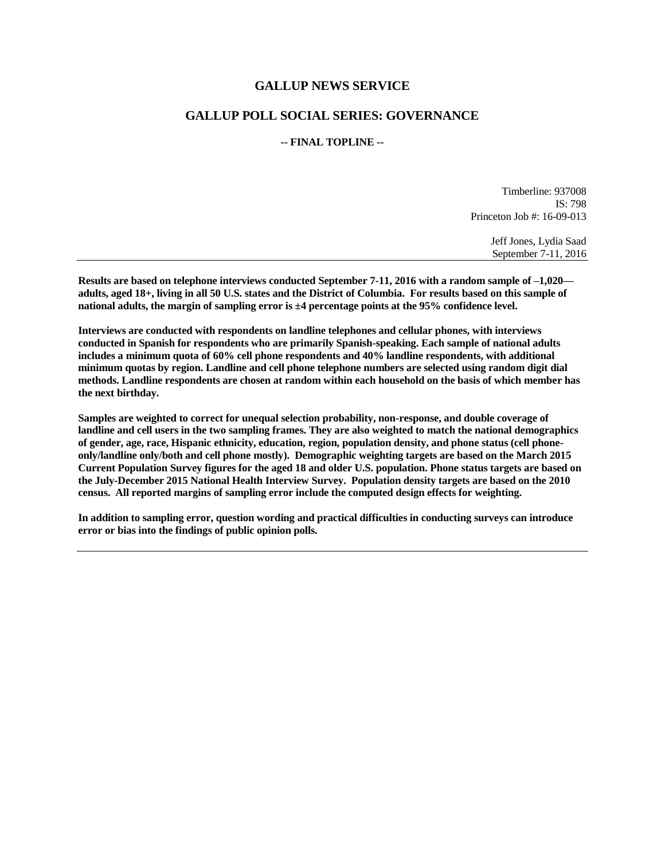### **GALLUP NEWS SERVICE**

### **GALLUP POLL SOCIAL SERIES: GOVERNANCE**

#### **-- FINAL TOPLINE --**

Timberline: 937008 IS: 798 Princeton Job #: 16-09-013

> Jeff Jones, Lydia Saad September 7-11, 2016

**Results are based on telephone interviews conducted September 7-11, 2016 with a random sample of –1,020 adults, aged 18+, living in all 50 U.S. states and the District of Columbia. For results based on this sample of national adults, the margin of sampling error is ±4 percentage points at the 95% confidence level.** 

**Interviews are conducted with respondents on landline telephones and cellular phones, with interviews conducted in Spanish for respondents who are primarily Spanish-speaking. Each sample of national adults includes a minimum quota of 60% cell phone respondents and 40% landline respondents, with additional minimum quotas by region. Landline and cell phone telephone numbers are selected using random digit dial methods. Landline respondents are chosen at random within each household on the basis of which member has the next birthday.**

**Samples are weighted to correct for unequal selection probability, non-response, and double coverage of landline and cell users in the two sampling frames. They are also weighted to match the national demographics of gender, age, race, Hispanic ethnicity, education, region, population density, and phone status (cell phoneonly/landline only/both and cell phone mostly). Demographic weighting targets are based on the March 2015 Current Population Survey figures for the aged 18 and older U.S. population. Phone status targets are based on the July-December 2015 National Health Interview Survey. Population density targets are based on the 2010 census. All reported margins of sampling error include the computed design effects for weighting.** 

**In addition to sampling error, question wording and practical difficulties in conducting surveys can introduce error or bias into the findings of public opinion polls.**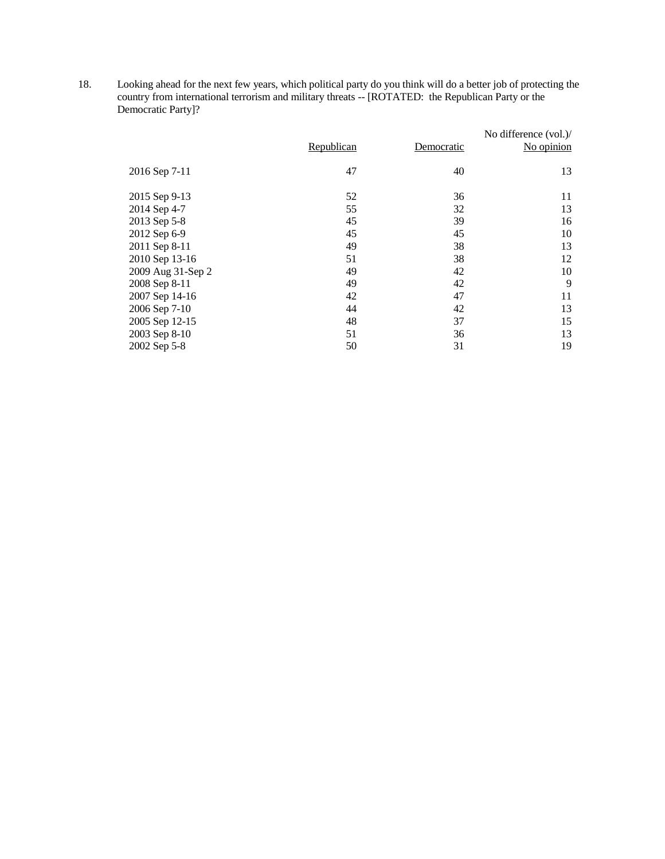18. Looking ahead for the next few years, which political party do you think will do a better job of protecting the country from international terrorism and military threats -- [ROTATED: the Republican Party or the Democratic Party]?

|                   | Republican | Democratic | No difference (vol.)/<br>No opinion |
|-------------------|------------|------------|-------------------------------------|
| 2016 Sep 7-11     | 47         | 40         | 13                                  |
| 2015 Sep 9-13     | 52         | 36         | 11                                  |
| 2014 Sep 4-7      | 55         | 32         | 13                                  |
| 2013 Sep 5-8      | 45         | 39         | 16                                  |
| 2012 Sep 6-9      | 45         | 45         | 10                                  |
| 2011 Sep 8-11     | 49         | 38         | 13                                  |
| 2010 Sep 13-16    | 51         | 38         | 12                                  |
| 2009 Aug 31-Sep 2 | 49         | 42         | 10                                  |
| 2008 Sep 8-11     | 49         | 42         | 9                                   |
| 2007 Sep 14-16    | 42         | 47         | 11                                  |
| 2006 Sep 7-10     | 44         | 42         | 13                                  |
| 2005 Sep 12-15    | 48         | 37         | 15                                  |
| 2003 Sep 8-10     | 51         | 36         | 13                                  |
| 2002 Sep 5-8      | 50         | 31         | 19                                  |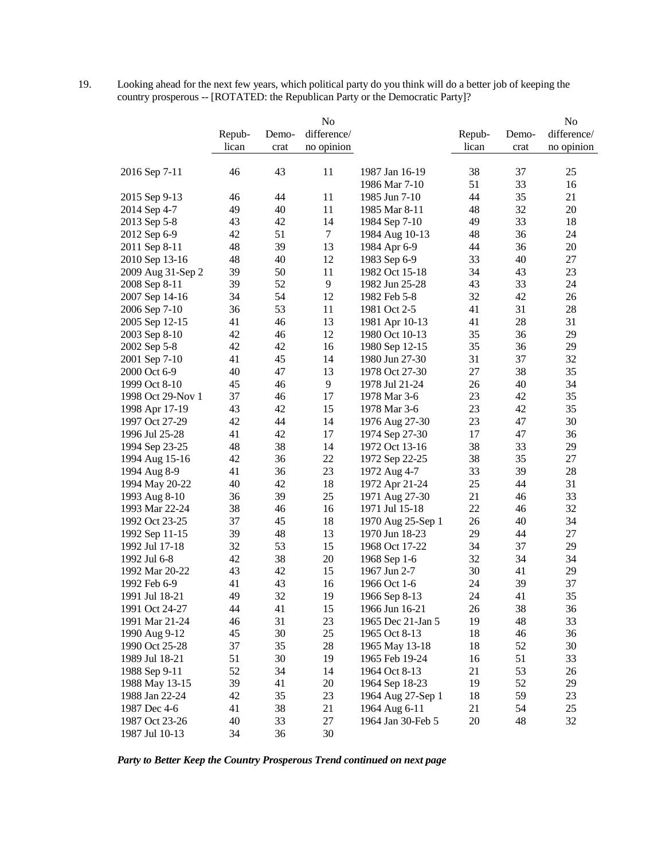19. Looking ahead for the next few years, which political party do you think will do a better job of keeping the country prosperous -- [ROTATED: the Republican Party or the Democratic Party]?

| lican<br>no opinion<br>lican<br>no opinion<br>crat<br>crat<br>43<br>11<br>1987 Jan 16-19<br>38<br>37<br>2016 Sep 7-11<br>46<br>25<br>51<br>33<br>1986 Mar 7-10<br>16<br>35<br>11<br>44<br>21<br>46<br>44<br>1985 Jun 7-10<br>2015 Sep 9-13<br>32<br>49<br>40<br>11<br>48<br>20<br>1985 Mar 8-11<br>2014 Sep 4-7<br>33<br>43<br>42<br>14<br>49<br>18<br>2013 Sep 5-8<br>1984 Sep 7-10<br>51<br>$\tau$<br>36<br>24<br>42<br>48<br>2012 Sep 6-9<br>1984 Aug 10-13<br>39<br>13<br>44<br>36<br>$20\,$<br>2011 Sep 8-11<br>48<br>1984 Apr 6-9<br>48<br>40<br>12<br>33<br>40<br>27<br>1983 Sep 6-9<br>2010 Sep 13-16<br>39<br>50<br>11<br>34<br>43<br>23<br>2009 Aug 31-Sep 2<br>1982 Oct 15-18<br>39<br>52<br>9<br>33<br>43<br>24<br>2008 Sep 8-11<br>1982 Jun 25-28<br>34<br>54<br>32<br>42<br>12<br>26<br>2007 Sep 14-16<br>1982 Feb 5-8<br>53<br>31<br>36<br>11<br>1981 Oct 2-5<br>41<br>28<br>2006 Sep 7-10<br>13<br>28<br>31<br>41<br>46<br>41<br>2005 Sep 12-15<br>1981 Apr 10-13<br>42<br>12<br>35<br>36<br>29<br>46<br>2003 Sep 8-10<br>1980 Oct 10-13<br>42<br>42<br>16<br>35<br>36<br>29<br>2002 Sep 5-8<br>1980 Sep 12-15<br>37<br>41<br>45<br>14<br>31<br>32<br>1980 Jun 27-30<br>2001 Sep 7-10<br>27<br>38<br>35<br>40<br>47<br>13<br>1978 Oct 27-30<br>2000 Oct 6-9<br>46<br>9<br>26<br>40<br>34<br>45<br>1999 Oct 8-10<br>1978 Jul 21-24<br>35<br>37<br>17<br>23<br>42<br>1998 Oct 29-Nov 1<br>46<br>1978 Mar 3-6<br>42<br>15<br>23<br>42<br>35<br>43<br>1998 Apr 17-19<br>1978 Mar 3-6<br>42<br>44<br>23<br>47<br>14<br>30<br>1997 Oct 27-29<br>1976 Aug 27-30<br>41<br>42<br>17<br>17<br>47<br>36<br>1996 Jul 25-28<br>1974 Sep 27-30<br>48<br>38<br>38<br>14<br>33<br>29<br>1994 Sep 23-25<br>1972 Oct 13-16<br>22<br>27<br>42<br>36<br>38<br>35<br>1972 Sep 22-25<br>1994 Aug 15-16<br>23<br>39<br>41<br>36<br>33<br>28<br>1994 Aug 8-9<br>1972 Aug 4-7<br>42<br>18<br>25<br>44<br>31<br>40<br>1994 May 20-22<br>1972 Apr 21-24<br>39<br>25<br>21<br>46<br>33<br>36<br>1971 Aug 27-30<br>1993 Aug 8-10<br>38<br>46<br>16<br>22<br>46<br>32<br>1971 Jul 15-18<br>1993 Mar 22-24<br>37<br>45<br>18<br>26<br>40<br>34<br>1992 Oct 23-25<br>1970 Aug 25-Sep 1<br>39<br>13<br>29<br>44<br>27<br>1992 Sep 11-15<br>48<br>1970 Jun 18-23<br>37<br>32<br>53<br>15<br>34<br>29<br>1992 Jul 17-18<br>1968 Oct 17-22<br>42<br>38<br>20<br>32<br>34<br>34<br>1992 Jul 6-8<br>1968 Sep 1-6<br>43<br>30<br>29<br>42<br>15<br>1967 Jun 2-7<br>41<br>1992 Mar 20-22<br>41<br>43<br>39<br>37<br>1992 Feb 6-9<br>16<br>1966 Oct 1-6<br>24<br>35<br>49<br>32<br>19<br>24<br>41<br>1991 Jul 18-21<br>1966 Sep 8-13<br>1991 Oct 24-27<br>44<br>41<br>1966 Jun 16-21<br>26<br>38<br>15<br>36<br>31<br>23<br>19<br>48<br>33<br>1991 Mar 21-24<br>46<br>1965 Dec 21-Jan 5<br>45<br>30<br>25<br>18<br>1990 Aug 9-12<br>1965 Oct 8-13<br>46<br>36<br>35<br>37<br>28<br>18<br>52<br>30<br>1990 Oct 25-28<br>1965 May 13-18<br>51<br>51<br>30<br>19<br>16<br>33<br>1989 Jul 18-21<br>1965 Feb 19-24<br>52<br>34<br>53<br>14<br>1964 Oct 8-13<br>21<br>26<br>1988 Sep 9-11<br>39<br>20<br>52<br>41<br>1964 Sep 18-23<br>19<br>29<br>1988 May 13-15<br>42<br>35<br>23<br>18<br>59<br>23<br>1988 Jan 22-24<br>1964 Aug 27-Sep 1<br>41<br>38<br>21<br>21<br>54<br>25<br>1987 Dec 4-6<br>1964 Aug 6-11<br>40<br>33<br>27<br>20<br>48<br>32<br>1987 Oct 23-26<br>1964 Jan 30-Feb 5 |                | Repub- | Demo- | No<br>difference/ | Repub- | Demo- | No<br>difference/ |
|---------------------------------------------------------------------------------------------------------------------------------------------------------------------------------------------------------------------------------------------------------------------------------------------------------------------------------------------------------------------------------------------------------------------------------------------------------------------------------------------------------------------------------------------------------------------------------------------------------------------------------------------------------------------------------------------------------------------------------------------------------------------------------------------------------------------------------------------------------------------------------------------------------------------------------------------------------------------------------------------------------------------------------------------------------------------------------------------------------------------------------------------------------------------------------------------------------------------------------------------------------------------------------------------------------------------------------------------------------------------------------------------------------------------------------------------------------------------------------------------------------------------------------------------------------------------------------------------------------------------------------------------------------------------------------------------------------------------------------------------------------------------------------------------------------------------------------------------------------------------------------------------------------------------------------------------------------------------------------------------------------------------------------------------------------------------------------------------------------------------------------------------------------------------------------------------------------------------------------------------------------------------------------------------------------------------------------------------------------------------------------------------------------------------------------------------------------------------------------------------------------------------------------------------------------------------------------------------------------------------------------------------------------------------------------------------------------------------------------------------------------------------------------------------------------------------------------------------------------------------------------------------------------------------------------------------------------------------------------------------------------------------------------------------------------------------------------------------------------------------------------------------------------------------------------------------------------------------------------------------------------------------------------------------------------------------------------------------------------------|----------------|--------|-------|-------------------|--------|-------|-------------------|
|                                                                                                                                                                                                                                                                                                                                                                                                                                                                                                                                                                                                                                                                                                                                                                                                                                                                                                                                                                                                                                                                                                                                                                                                                                                                                                                                                                                                                                                                                                                                                                                                                                                                                                                                                                                                                                                                                                                                                                                                                                                                                                                                                                                                                                                                                                                                                                                                                                                                                                                                                                                                                                                                                                                                                                                                                                                                                                                                                                                                                                                                                                                                                                                                                                                                                                                                                               |                |        |       |                   |        |       |                   |
|                                                                                                                                                                                                                                                                                                                                                                                                                                                                                                                                                                                                                                                                                                                                                                                                                                                                                                                                                                                                                                                                                                                                                                                                                                                                                                                                                                                                                                                                                                                                                                                                                                                                                                                                                                                                                                                                                                                                                                                                                                                                                                                                                                                                                                                                                                                                                                                                                                                                                                                                                                                                                                                                                                                                                                                                                                                                                                                                                                                                                                                                                                                                                                                                                                                                                                                                                               |                |        |       |                   |        |       |                   |
|                                                                                                                                                                                                                                                                                                                                                                                                                                                                                                                                                                                                                                                                                                                                                                                                                                                                                                                                                                                                                                                                                                                                                                                                                                                                                                                                                                                                                                                                                                                                                                                                                                                                                                                                                                                                                                                                                                                                                                                                                                                                                                                                                                                                                                                                                                                                                                                                                                                                                                                                                                                                                                                                                                                                                                                                                                                                                                                                                                                                                                                                                                                                                                                                                                                                                                                                                               |                |        |       |                   |        |       |                   |
|                                                                                                                                                                                                                                                                                                                                                                                                                                                                                                                                                                                                                                                                                                                                                                                                                                                                                                                                                                                                                                                                                                                                                                                                                                                                                                                                                                                                                                                                                                                                                                                                                                                                                                                                                                                                                                                                                                                                                                                                                                                                                                                                                                                                                                                                                                                                                                                                                                                                                                                                                                                                                                                                                                                                                                                                                                                                                                                                                                                                                                                                                                                                                                                                                                                                                                                                                               |                |        |       |                   |        |       |                   |
|                                                                                                                                                                                                                                                                                                                                                                                                                                                                                                                                                                                                                                                                                                                                                                                                                                                                                                                                                                                                                                                                                                                                                                                                                                                                                                                                                                                                                                                                                                                                                                                                                                                                                                                                                                                                                                                                                                                                                                                                                                                                                                                                                                                                                                                                                                                                                                                                                                                                                                                                                                                                                                                                                                                                                                                                                                                                                                                                                                                                                                                                                                                                                                                                                                                                                                                                                               |                |        |       |                   |        |       |                   |
|                                                                                                                                                                                                                                                                                                                                                                                                                                                                                                                                                                                                                                                                                                                                                                                                                                                                                                                                                                                                                                                                                                                                                                                                                                                                                                                                                                                                                                                                                                                                                                                                                                                                                                                                                                                                                                                                                                                                                                                                                                                                                                                                                                                                                                                                                                                                                                                                                                                                                                                                                                                                                                                                                                                                                                                                                                                                                                                                                                                                                                                                                                                                                                                                                                                                                                                                                               |                |        |       |                   |        |       |                   |
|                                                                                                                                                                                                                                                                                                                                                                                                                                                                                                                                                                                                                                                                                                                                                                                                                                                                                                                                                                                                                                                                                                                                                                                                                                                                                                                                                                                                                                                                                                                                                                                                                                                                                                                                                                                                                                                                                                                                                                                                                                                                                                                                                                                                                                                                                                                                                                                                                                                                                                                                                                                                                                                                                                                                                                                                                                                                                                                                                                                                                                                                                                                                                                                                                                                                                                                                                               |                |        |       |                   |        |       |                   |
|                                                                                                                                                                                                                                                                                                                                                                                                                                                                                                                                                                                                                                                                                                                                                                                                                                                                                                                                                                                                                                                                                                                                                                                                                                                                                                                                                                                                                                                                                                                                                                                                                                                                                                                                                                                                                                                                                                                                                                                                                                                                                                                                                                                                                                                                                                                                                                                                                                                                                                                                                                                                                                                                                                                                                                                                                                                                                                                                                                                                                                                                                                                                                                                                                                                                                                                                                               |                |        |       |                   |        |       |                   |
|                                                                                                                                                                                                                                                                                                                                                                                                                                                                                                                                                                                                                                                                                                                                                                                                                                                                                                                                                                                                                                                                                                                                                                                                                                                                                                                                                                                                                                                                                                                                                                                                                                                                                                                                                                                                                                                                                                                                                                                                                                                                                                                                                                                                                                                                                                                                                                                                                                                                                                                                                                                                                                                                                                                                                                                                                                                                                                                                                                                                                                                                                                                                                                                                                                                                                                                                                               |                |        |       |                   |        |       |                   |
|                                                                                                                                                                                                                                                                                                                                                                                                                                                                                                                                                                                                                                                                                                                                                                                                                                                                                                                                                                                                                                                                                                                                                                                                                                                                                                                                                                                                                                                                                                                                                                                                                                                                                                                                                                                                                                                                                                                                                                                                                                                                                                                                                                                                                                                                                                                                                                                                                                                                                                                                                                                                                                                                                                                                                                                                                                                                                                                                                                                                                                                                                                                                                                                                                                                                                                                                                               |                |        |       |                   |        |       |                   |
|                                                                                                                                                                                                                                                                                                                                                                                                                                                                                                                                                                                                                                                                                                                                                                                                                                                                                                                                                                                                                                                                                                                                                                                                                                                                                                                                                                                                                                                                                                                                                                                                                                                                                                                                                                                                                                                                                                                                                                                                                                                                                                                                                                                                                                                                                                                                                                                                                                                                                                                                                                                                                                                                                                                                                                                                                                                                                                                                                                                                                                                                                                                                                                                                                                                                                                                                                               |                |        |       |                   |        |       |                   |
|                                                                                                                                                                                                                                                                                                                                                                                                                                                                                                                                                                                                                                                                                                                                                                                                                                                                                                                                                                                                                                                                                                                                                                                                                                                                                                                                                                                                                                                                                                                                                                                                                                                                                                                                                                                                                                                                                                                                                                                                                                                                                                                                                                                                                                                                                                                                                                                                                                                                                                                                                                                                                                                                                                                                                                                                                                                                                                                                                                                                                                                                                                                                                                                                                                                                                                                                                               |                |        |       |                   |        |       |                   |
|                                                                                                                                                                                                                                                                                                                                                                                                                                                                                                                                                                                                                                                                                                                                                                                                                                                                                                                                                                                                                                                                                                                                                                                                                                                                                                                                                                                                                                                                                                                                                                                                                                                                                                                                                                                                                                                                                                                                                                                                                                                                                                                                                                                                                                                                                                                                                                                                                                                                                                                                                                                                                                                                                                                                                                                                                                                                                                                                                                                                                                                                                                                                                                                                                                                                                                                                                               |                |        |       |                   |        |       |                   |
|                                                                                                                                                                                                                                                                                                                                                                                                                                                                                                                                                                                                                                                                                                                                                                                                                                                                                                                                                                                                                                                                                                                                                                                                                                                                                                                                                                                                                                                                                                                                                                                                                                                                                                                                                                                                                                                                                                                                                                                                                                                                                                                                                                                                                                                                                                                                                                                                                                                                                                                                                                                                                                                                                                                                                                                                                                                                                                                                                                                                                                                                                                                                                                                                                                                                                                                                                               |                |        |       |                   |        |       |                   |
|                                                                                                                                                                                                                                                                                                                                                                                                                                                                                                                                                                                                                                                                                                                                                                                                                                                                                                                                                                                                                                                                                                                                                                                                                                                                                                                                                                                                                                                                                                                                                                                                                                                                                                                                                                                                                                                                                                                                                                                                                                                                                                                                                                                                                                                                                                                                                                                                                                                                                                                                                                                                                                                                                                                                                                                                                                                                                                                                                                                                                                                                                                                                                                                                                                                                                                                                                               |                |        |       |                   |        |       |                   |
|                                                                                                                                                                                                                                                                                                                                                                                                                                                                                                                                                                                                                                                                                                                                                                                                                                                                                                                                                                                                                                                                                                                                                                                                                                                                                                                                                                                                                                                                                                                                                                                                                                                                                                                                                                                                                                                                                                                                                                                                                                                                                                                                                                                                                                                                                                                                                                                                                                                                                                                                                                                                                                                                                                                                                                                                                                                                                                                                                                                                                                                                                                                                                                                                                                                                                                                                                               |                |        |       |                   |        |       |                   |
|                                                                                                                                                                                                                                                                                                                                                                                                                                                                                                                                                                                                                                                                                                                                                                                                                                                                                                                                                                                                                                                                                                                                                                                                                                                                                                                                                                                                                                                                                                                                                                                                                                                                                                                                                                                                                                                                                                                                                                                                                                                                                                                                                                                                                                                                                                                                                                                                                                                                                                                                                                                                                                                                                                                                                                                                                                                                                                                                                                                                                                                                                                                                                                                                                                                                                                                                                               |                |        |       |                   |        |       |                   |
|                                                                                                                                                                                                                                                                                                                                                                                                                                                                                                                                                                                                                                                                                                                                                                                                                                                                                                                                                                                                                                                                                                                                                                                                                                                                                                                                                                                                                                                                                                                                                                                                                                                                                                                                                                                                                                                                                                                                                                                                                                                                                                                                                                                                                                                                                                                                                                                                                                                                                                                                                                                                                                                                                                                                                                                                                                                                                                                                                                                                                                                                                                                                                                                                                                                                                                                                                               |                |        |       |                   |        |       |                   |
|                                                                                                                                                                                                                                                                                                                                                                                                                                                                                                                                                                                                                                                                                                                                                                                                                                                                                                                                                                                                                                                                                                                                                                                                                                                                                                                                                                                                                                                                                                                                                                                                                                                                                                                                                                                                                                                                                                                                                                                                                                                                                                                                                                                                                                                                                                                                                                                                                                                                                                                                                                                                                                                                                                                                                                                                                                                                                                                                                                                                                                                                                                                                                                                                                                                                                                                                                               |                |        |       |                   |        |       |                   |
|                                                                                                                                                                                                                                                                                                                                                                                                                                                                                                                                                                                                                                                                                                                                                                                                                                                                                                                                                                                                                                                                                                                                                                                                                                                                                                                                                                                                                                                                                                                                                                                                                                                                                                                                                                                                                                                                                                                                                                                                                                                                                                                                                                                                                                                                                                                                                                                                                                                                                                                                                                                                                                                                                                                                                                                                                                                                                                                                                                                                                                                                                                                                                                                                                                                                                                                                                               |                |        |       |                   |        |       |                   |
|                                                                                                                                                                                                                                                                                                                                                                                                                                                                                                                                                                                                                                                                                                                                                                                                                                                                                                                                                                                                                                                                                                                                                                                                                                                                                                                                                                                                                                                                                                                                                                                                                                                                                                                                                                                                                                                                                                                                                                                                                                                                                                                                                                                                                                                                                                                                                                                                                                                                                                                                                                                                                                                                                                                                                                                                                                                                                                                                                                                                                                                                                                                                                                                                                                                                                                                                                               |                |        |       |                   |        |       |                   |
|                                                                                                                                                                                                                                                                                                                                                                                                                                                                                                                                                                                                                                                                                                                                                                                                                                                                                                                                                                                                                                                                                                                                                                                                                                                                                                                                                                                                                                                                                                                                                                                                                                                                                                                                                                                                                                                                                                                                                                                                                                                                                                                                                                                                                                                                                                                                                                                                                                                                                                                                                                                                                                                                                                                                                                                                                                                                                                                                                                                                                                                                                                                                                                                                                                                                                                                                                               |                |        |       |                   |        |       |                   |
|                                                                                                                                                                                                                                                                                                                                                                                                                                                                                                                                                                                                                                                                                                                                                                                                                                                                                                                                                                                                                                                                                                                                                                                                                                                                                                                                                                                                                                                                                                                                                                                                                                                                                                                                                                                                                                                                                                                                                                                                                                                                                                                                                                                                                                                                                                                                                                                                                                                                                                                                                                                                                                                                                                                                                                                                                                                                                                                                                                                                                                                                                                                                                                                                                                                                                                                                                               |                |        |       |                   |        |       |                   |
|                                                                                                                                                                                                                                                                                                                                                                                                                                                                                                                                                                                                                                                                                                                                                                                                                                                                                                                                                                                                                                                                                                                                                                                                                                                                                                                                                                                                                                                                                                                                                                                                                                                                                                                                                                                                                                                                                                                                                                                                                                                                                                                                                                                                                                                                                                                                                                                                                                                                                                                                                                                                                                                                                                                                                                                                                                                                                                                                                                                                                                                                                                                                                                                                                                                                                                                                                               |                |        |       |                   |        |       |                   |
|                                                                                                                                                                                                                                                                                                                                                                                                                                                                                                                                                                                                                                                                                                                                                                                                                                                                                                                                                                                                                                                                                                                                                                                                                                                                                                                                                                                                                                                                                                                                                                                                                                                                                                                                                                                                                                                                                                                                                                                                                                                                                                                                                                                                                                                                                                                                                                                                                                                                                                                                                                                                                                                                                                                                                                                                                                                                                                                                                                                                                                                                                                                                                                                                                                                                                                                                                               |                |        |       |                   |        |       |                   |
|                                                                                                                                                                                                                                                                                                                                                                                                                                                                                                                                                                                                                                                                                                                                                                                                                                                                                                                                                                                                                                                                                                                                                                                                                                                                                                                                                                                                                                                                                                                                                                                                                                                                                                                                                                                                                                                                                                                                                                                                                                                                                                                                                                                                                                                                                                                                                                                                                                                                                                                                                                                                                                                                                                                                                                                                                                                                                                                                                                                                                                                                                                                                                                                                                                                                                                                                                               |                |        |       |                   |        |       |                   |
|                                                                                                                                                                                                                                                                                                                                                                                                                                                                                                                                                                                                                                                                                                                                                                                                                                                                                                                                                                                                                                                                                                                                                                                                                                                                                                                                                                                                                                                                                                                                                                                                                                                                                                                                                                                                                                                                                                                                                                                                                                                                                                                                                                                                                                                                                                                                                                                                                                                                                                                                                                                                                                                                                                                                                                                                                                                                                                                                                                                                                                                                                                                                                                                                                                                                                                                                                               |                |        |       |                   |        |       |                   |
|                                                                                                                                                                                                                                                                                                                                                                                                                                                                                                                                                                                                                                                                                                                                                                                                                                                                                                                                                                                                                                                                                                                                                                                                                                                                                                                                                                                                                                                                                                                                                                                                                                                                                                                                                                                                                                                                                                                                                                                                                                                                                                                                                                                                                                                                                                                                                                                                                                                                                                                                                                                                                                                                                                                                                                                                                                                                                                                                                                                                                                                                                                                                                                                                                                                                                                                                                               |                |        |       |                   |        |       |                   |
|                                                                                                                                                                                                                                                                                                                                                                                                                                                                                                                                                                                                                                                                                                                                                                                                                                                                                                                                                                                                                                                                                                                                                                                                                                                                                                                                                                                                                                                                                                                                                                                                                                                                                                                                                                                                                                                                                                                                                                                                                                                                                                                                                                                                                                                                                                                                                                                                                                                                                                                                                                                                                                                                                                                                                                                                                                                                                                                                                                                                                                                                                                                                                                                                                                                                                                                                                               |                |        |       |                   |        |       |                   |
|                                                                                                                                                                                                                                                                                                                                                                                                                                                                                                                                                                                                                                                                                                                                                                                                                                                                                                                                                                                                                                                                                                                                                                                                                                                                                                                                                                                                                                                                                                                                                                                                                                                                                                                                                                                                                                                                                                                                                                                                                                                                                                                                                                                                                                                                                                                                                                                                                                                                                                                                                                                                                                                                                                                                                                                                                                                                                                                                                                                                                                                                                                                                                                                                                                                                                                                                                               |                |        |       |                   |        |       |                   |
|                                                                                                                                                                                                                                                                                                                                                                                                                                                                                                                                                                                                                                                                                                                                                                                                                                                                                                                                                                                                                                                                                                                                                                                                                                                                                                                                                                                                                                                                                                                                                                                                                                                                                                                                                                                                                                                                                                                                                                                                                                                                                                                                                                                                                                                                                                                                                                                                                                                                                                                                                                                                                                                                                                                                                                                                                                                                                                                                                                                                                                                                                                                                                                                                                                                                                                                                                               |                |        |       |                   |        |       |                   |
|                                                                                                                                                                                                                                                                                                                                                                                                                                                                                                                                                                                                                                                                                                                                                                                                                                                                                                                                                                                                                                                                                                                                                                                                                                                                                                                                                                                                                                                                                                                                                                                                                                                                                                                                                                                                                                                                                                                                                                                                                                                                                                                                                                                                                                                                                                                                                                                                                                                                                                                                                                                                                                                                                                                                                                                                                                                                                                                                                                                                                                                                                                                                                                                                                                                                                                                                                               |                |        |       |                   |        |       |                   |
|                                                                                                                                                                                                                                                                                                                                                                                                                                                                                                                                                                                                                                                                                                                                                                                                                                                                                                                                                                                                                                                                                                                                                                                                                                                                                                                                                                                                                                                                                                                                                                                                                                                                                                                                                                                                                                                                                                                                                                                                                                                                                                                                                                                                                                                                                                                                                                                                                                                                                                                                                                                                                                                                                                                                                                                                                                                                                                                                                                                                                                                                                                                                                                                                                                                                                                                                                               |                |        |       |                   |        |       |                   |
|                                                                                                                                                                                                                                                                                                                                                                                                                                                                                                                                                                                                                                                                                                                                                                                                                                                                                                                                                                                                                                                                                                                                                                                                                                                                                                                                                                                                                                                                                                                                                                                                                                                                                                                                                                                                                                                                                                                                                                                                                                                                                                                                                                                                                                                                                                                                                                                                                                                                                                                                                                                                                                                                                                                                                                                                                                                                                                                                                                                                                                                                                                                                                                                                                                                                                                                                                               |                |        |       |                   |        |       |                   |
|                                                                                                                                                                                                                                                                                                                                                                                                                                                                                                                                                                                                                                                                                                                                                                                                                                                                                                                                                                                                                                                                                                                                                                                                                                                                                                                                                                                                                                                                                                                                                                                                                                                                                                                                                                                                                                                                                                                                                                                                                                                                                                                                                                                                                                                                                                                                                                                                                                                                                                                                                                                                                                                                                                                                                                                                                                                                                                                                                                                                                                                                                                                                                                                                                                                                                                                                                               |                |        |       |                   |        |       |                   |
|                                                                                                                                                                                                                                                                                                                                                                                                                                                                                                                                                                                                                                                                                                                                                                                                                                                                                                                                                                                                                                                                                                                                                                                                                                                                                                                                                                                                                                                                                                                                                                                                                                                                                                                                                                                                                                                                                                                                                                                                                                                                                                                                                                                                                                                                                                                                                                                                                                                                                                                                                                                                                                                                                                                                                                                                                                                                                                                                                                                                                                                                                                                                                                                                                                                                                                                                                               |                |        |       |                   |        |       |                   |
|                                                                                                                                                                                                                                                                                                                                                                                                                                                                                                                                                                                                                                                                                                                                                                                                                                                                                                                                                                                                                                                                                                                                                                                                                                                                                                                                                                                                                                                                                                                                                                                                                                                                                                                                                                                                                                                                                                                                                                                                                                                                                                                                                                                                                                                                                                                                                                                                                                                                                                                                                                                                                                                                                                                                                                                                                                                                                                                                                                                                                                                                                                                                                                                                                                                                                                                                                               |                |        |       |                   |        |       |                   |
|                                                                                                                                                                                                                                                                                                                                                                                                                                                                                                                                                                                                                                                                                                                                                                                                                                                                                                                                                                                                                                                                                                                                                                                                                                                                                                                                                                                                                                                                                                                                                                                                                                                                                                                                                                                                                                                                                                                                                                                                                                                                                                                                                                                                                                                                                                                                                                                                                                                                                                                                                                                                                                                                                                                                                                                                                                                                                                                                                                                                                                                                                                                                                                                                                                                                                                                                                               |                |        |       |                   |        |       |                   |
|                                                                                                                                                                                                                                                                                                                                                                                                                                                                                                                                                                                                                                                                                                                                                                                                                                                                                                                                                                                                                                                                                                                                                                                                                                                                                                                                                                                                                                                                                                                                                                                                                                                                                                                                                                                                                                                                                                                                                                                                                                                                                                                                                                                                                                                                                                                                                                                                                                                                                                                                                                                                                                                                                                                                                                                                                                                                                                                                                                                                                                                                                                                                                                                                                                                                                                                                                               |                |        |       |                   |        |       |                   |
|                                                                                                                                                                                                                                                                                                                                                                                                                                                                                                                                                                                                                                                                                                                                                                                                                                                                                                                                                                                                                                                                                                                                                                                                                                                                                                                                                                                                                                                                                                                                                                                                                                                                                                                                                                                                                                                                                                                                                                                                                                                                                                                                                                                                                                                                                                                                                                                                                                                                                                                                                                                                                                                                                                                                                                                                                                                                                                                                                                                                                                                                                                                                                                                                                                                                                                                                                               |                |        |       |                   |        |       |                   |
|                                                                                                                                                                                                                                                                                                                                                                                                                                                                                                                                                                                                                                                                                                                                                                                                                                                                                                                                                                                                                                                                                                                                                                                                                                                                                                                                                                                                                                                                                                                                                                                                                                                                                                                                                                                                                                                                                                                                                                                                                                                                                                                                                                                                                                                                                                                                                                                                                                                                                                                                                                                                                                                                                                                                                                                                                                                                                                                                                                                                                                                                                                                                                                                                                                                                                                                                                               |                |        |       |                   |        |       |                   |
|                                                                                                                                                                                                                                                                                                                                                                                                                                                                                                                                                                                                                                                                                                                                                                                                                                                                                                                                                                                                                                                                                                                                                                                                                                                                                                                                                                                                                                                                                                                                                                                                                                                                                                                                                                                                                                                                                                                                                                                                                                                                                                                                                                                                                                                                                                                                                                                                                                                                                                                                                                                                                                                                                                                                                                                                                                                                                                                                                                                                                                                                                                                                                                                                                                                                                                                                                               |                |        |       |                   |        |       |                   |
|                                                                                                                                                                                                                                                                                                                                                                                                                                                                                                                                                                                                                                                                                                                                                                                                                                                                                                                                                                                                                                                                                                                                                                                                                                                                                                                                                                                                                                                                                                                                                                                                                                                                                                                                                                                                                                                                                                                                                                                                                                                                                                                                                                                                                                                                                                                                                                                                                                                                                                                                                                                                                                                                                                                                                                                                                                                                                                                                                                                                                                                                                                                                                                                                                                                                                                                                                               |                |        |       |                   |        |       |                   |
|                                                                                                                                                                                                                                                                                                                                                                                                                                                                                                                                                                                                                                                                                                                                                                                                                                                                                                                                                                                                                                                                                                                                                                                                                                                                                                                                                                                                                                                                                                                                                                                                                                                                                                                                                                                                                                                                                                                                                                                                                                                                                                                                                                                                                                                                                                                                                                                                                                                                                                                                                                                                                                                                                                                                                                                                                                                                                                                                                                                                                                                                                                                                                                                                                                                                                                                                                               |                |        |       |                   |        |       |                   |
|                                                                                                                                                                                                                                                                                                                                                                                                                                                                                                                                                                                                                                                                                                                                                                                                                                                                                                                                                                                                                                                                                                                                                                                                                                                                                                                                                                                                                                                                                                                                                                                                                                                                                                                                                                                                                                                                                                                                                                                                                                                                                                                                                                                                                                                                                                                                                                                                                                                                                                                                                                                                                                                                                                                                                                                                                                                                                                                                                                                                                                                                                                                                                                                                                                                                                                                                                               |                |        |       |                   |        |       |                   |
|                                                                                                                                                                                                                                                                                                                                                                                                                                                                                                                                                                                                                                                                                                                                                                                                                                                                                                                                                                                                                                                                                                                                                                                                                                                                                                                                                                                                                                                                                                                                                                                                                                                                                                                                                                                                                                                                                                                                                                                                                                                                                                                                                                                                                                                                                                                                                                                                                                                                                                                                                                                                                                                                                                                                                                                                                                                                                                                                                                                                                                                                                                                                                                                                                                                                                                                                                               |                |        |       |                   |        |       |                   |
|                                                                                                                                                                                                                                                                                                                                                                                                                                                                                                                                                                                                                                                                                                                                                                                                                                                                                                                                                                                                                                                                                                                                                                                                                                                                                                                                                                                                                                                                                                                                                                                                                                                                                                                                                                                                                                                                                                                                                                                                                                                                                                                                                                                                                                                                                                                                                                                                                                                                                                                                                                                                                                                                                                                                                                                                                                                                                                                                                                                                                                                                                                                                                                                                                                                                                                                                                               |                |        |       |                   |        |       |                   |
|                                                                                                                                                                                                                                                                                                                                                                                                                                                                                                                                                                                                                                                                                                                                                                                                                                                                                                                                                                                                                                                                                                                                                                                                                                                                                                                                                                                                                                                                                                                                                                                                                                                                                                                                                                                                                                                                                                                                                                                                                                                                                                                                                                                                                                                                                                                                                                                                                                                                                                                                                                                                                                                                                                                                                                                                                                                                                                                                                                                                                                                                                                                                                                                                                                                                                                                                                               | 1987 Jul 10-13 | 34     | 36    | 30                |        |       |                   |

*Party to Better Keep the Country Prosperous Trend continued on next page*